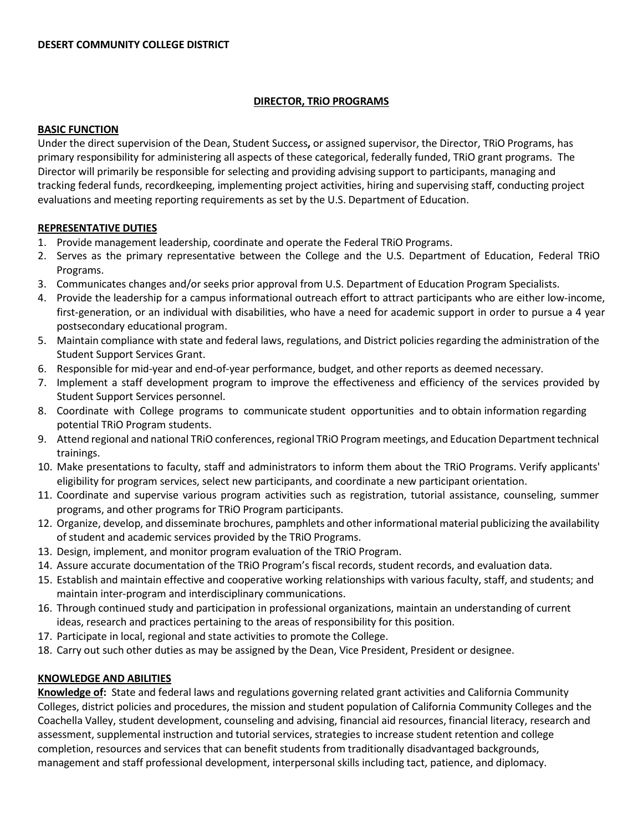#### **DIRECTOR, TRiO PROGRAMS**

#### **BASIC FUNCTION**

Under the direct supervision of the Dean, Student Success**,** or assigned supervisor, the Director, TRiO Programs, has primary responsibility for administering all aspects of these categorical, federally funded, TRiO grant programs. The Director will primarily be responsible for selecting and providing advising support to participants, managing and tracking federal funds, recordkeeping, implementing project activities, hiring and supervising staff, conducting project evaluations and meeting reporting requirements as set by the U.S. Department of Education.

## **REPRESENTATIVE DUTIES**

- 1. Provide management leadership, coordinate and operate the Federal TRiO Programs.
- 2. Serves as the primary representative between the College and the U.S. Department of Education, Federal TRiO Programs.
- 3. Communicates changes and/or seeks prior approval from U.S. Department of Education Program Specialists.
- 4. Provide the leadership for a campus informational outreach effort to attract participants who are either low-income, first-generation, or an individual with disabilities, who have a need for academic support in order to pursue a 4 year postsecondary educational program.
- 5. Maintain compliance with state and federal laws, regulations, and District policiesregarding the administration of the Student Support Services Grant.
- 6. Responsible for mid-year and end-of-year performance, budget, and other reports as deemed necessary.
- 7. Implement a staff development program to improve the effectiveness and efficiency of the services provided by Student Support Services personnel.
- 8. Coordinate with College programs to communicate student opportunities and to obtain information regarding potential TRiO Program students.
- 9. Attend regional and national TRiO conferences, regional TRiO Program meetings, and Education Department technical trainings.
- 10. Make presentations to faculty, staff and administrators to inform them about the TRiO Programs. Verify applicants' eligibility for program services, select new participants, and coordinate a new participant orientation.
- 11. Coordinate and supervise various program activities such as registration, tutorial assistance, counseling, summer programs, and other programs for TRiO Program participants.
- 12. Organize, develop, and disseminate brochures, pamphlets and other informational material publicizing the availability of student and academic services provided by the TRiO Programs.
- 13. Design, implement, and monitor program evaluation of the TRiO Program.
- 14. Assure accurate documentation of the TRiO Program's fiscal records, student records, and evaluation data.
- 15. Establish and maintain effective and cooperative working relationships with various faculty, staff, and students; and maintain inter-program and interdisciplinary communications.
- 16. Through continued study and participation in professional organizations, maintain an understanding of current ideas, research and practices pertaining to the areas of responsibility for this position.
- 17. Participate in local, regional and state activities to promote the College.
- 18. Carry out such other duties as may be assigned by the Dean, Vice President, President or designee.

## **KNOWLEDGE AND ABILITIES**

**Knowledge of:** State and federal laws and regulations governing related grant activities and California Community Colleges, district policies and procedures, the mission and student population of California Community Colleges and the Coachella Valley, student development, counseling and advising, financial aid resources, financial literacy, research and assessment, supplemental instruction and tutorial services, strategies to increase student retention and college completion, resources and services that can benefit students from traditionally disadvantaged backgrounds, management and staff professional development, interpersonal skills including tact, patience, and diplomacy.